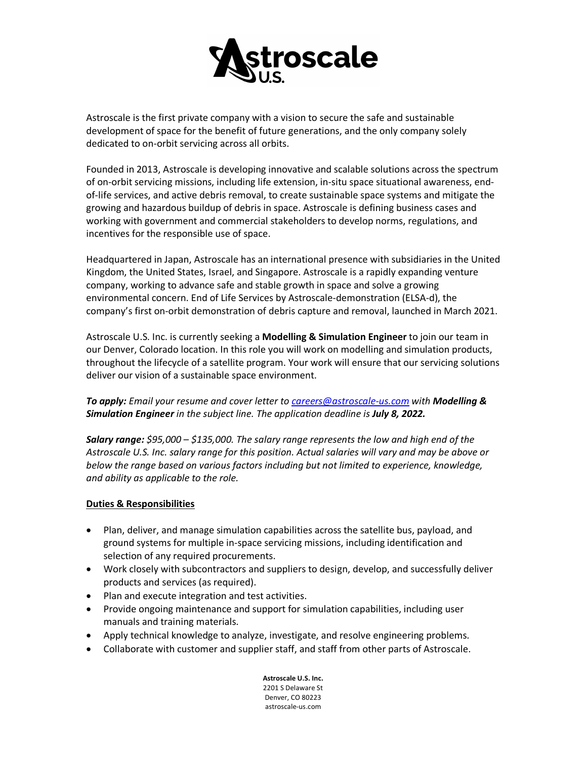

Astroscale is the first private company with a vision to secure the safe and sustainable development of space for the benefit of future generations, and the only company solely dedicated to on-orbit servicing across all orbits.

Founded in 2013, Astroscale is developing innovative and scalable solutions across the spectrum of on-orbit servicing missions, including life extension, in-situ space situational awareness, endof-life services, and active debris removal, to create sustainable space systems and mitigate the growing and hazardous buildup of debris in space. Astroscale is defining business cases and working with government and commercial stakeholders to develop norms, regulations, and incentives for the responsible use of space.

Headquartered in Japan, Astroscale has an international presence with subsidiaries in the United Kingdom, the United States, Israel, and Singapore. Astroscale is a rapidly expanding venture company, working to advance safe and stable growth in space and solve a growing environmental concern. End of Life Services by Astroscale-demonstration (ELSA-d), the company's first on-orbit demonstration of debris capture and removal, launched in March 2021.

Astroscale U.S. Inc. is currently seeking a **Modelling & Simulation Engineer** to join our team in our Denver, Colorado location. In this role you will work on modelling and simulation products, throughout the lifecycle of a satellite program. Your work will ensure that our servicing solutions deliver our vision of a sustainable space environment.

*To apply: Email your resume and cover letter to [careers@astroscale-us.com](mailto:careers@astroscale-us.com) with Modelling & Simulation Engineer in the subject line. The application deadline is July 8, 2022.*

*Salary range: \$95,000 – \$135,000. The salary range represents the low and high end of the Astroscale U.S. Inc. salary range for this position. Actual salaries will vary and may be above or below the range based on various factors including but not limited to experience, knowledge, and ability as applicable to the role.*

## **Duties & Responsibilities**

- Plan, deliver, and manage simulation capabilities across the satellite bus, payload, and ground systems for multiple in-space servicing missions, including identification and selection of any required procurements.
- Work closely with subcontractors and suppliers to design, develop, and successfully deliver products and services (as required).
- Plan and execute integration and test activities.
- Provide ongoing maintenance and support for simulation capabilities, including user manuals and training materials.
- Apply technical knowledge to analyze, investigate, and resolve engineering problems.
- Collaborate with customer and supplier staff, and staff from other parts of Astroscale.

**Astroscale U.S. Inc.** 2201 S Delaware St Denver, CO 80223 astroscale-us.com